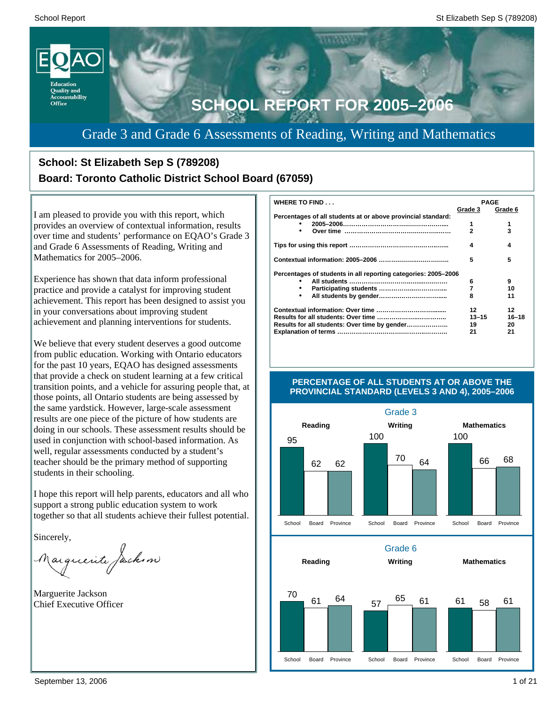

# Grade 3 and Grade 6 Assessments of Reading, Writing and Mathematics

# **School: St Elizabeth Sep S (789208) Board: Toronto Catholic District School Board (67059)**

I am pleased to provide you with this report, which provides an overview of contextual information, results over time and students' performance on EQAO's Grade 3 and Grade 6 Assessments of Reading, Writing and Mathematics for 2005–2006.

Experience has shown that data inform professional practice and provide a catalyst for improving student achievement. This report has been designed to assist you in your conversations about improving student achievement and planning interventions for students.

We believe that every student deserves a good outcome from public education. Working with Ontario educators for the past 10 years, EQAO has designed assessments that provide a check on student learning at a few critical transition points, and a vehicle for assuring people that, at those points, all Ontario students are being assessed by the same yardstick. However, large-scale assessment results are one piece of the picture of how students are doing in our schools. These assessment results should be used in conjunction with school-based information. As well, regular assessments conducted by a student's teacher should be the primary method of supporting students in their schooling.

I hope this report will help parents, educators and all who support a strong public education system to work together so that all students achieve their fullest potential.

Sincerely,

Marguerite Jackson

Marguerite Jackson Chief Executive Officer

| WHERE TO FIND                                                  | <b>PAGE</b>    |           |
|----------------------------------------------------------------|----------------|-----------|
|                                                                | Grade 3        | Grade 6   |
| Percentages of all students at or above provincial standard:   |                |           |
|                                                                | 1              | 1         |
| ٠                                                              | $\overline{2}$ | 3         |
|                                                                | 4              | 4         |
|                                                                | 5              | 5         |
| Percentages of students in all reporting categories: 2005-2006 |                |           |
|                                                                | 6              | 9         |
| ٠                                                              | 7              | 10        |
| $\bullet$                                                      | 8              | 11        |
|                                                                | 12             | 12        |
|                                                                | $13 - 15$      | $16 - 18$ |
| Results for all students: Over time by gender                  | 19             | 20        |
|                                                                | 21             | 21        |



### **PERCENTAGE OF ALL STUDENTS AT OR ABOVE THE PROVINCIAL STANDARD (LEVELS 3 AND 4), 2005–2006**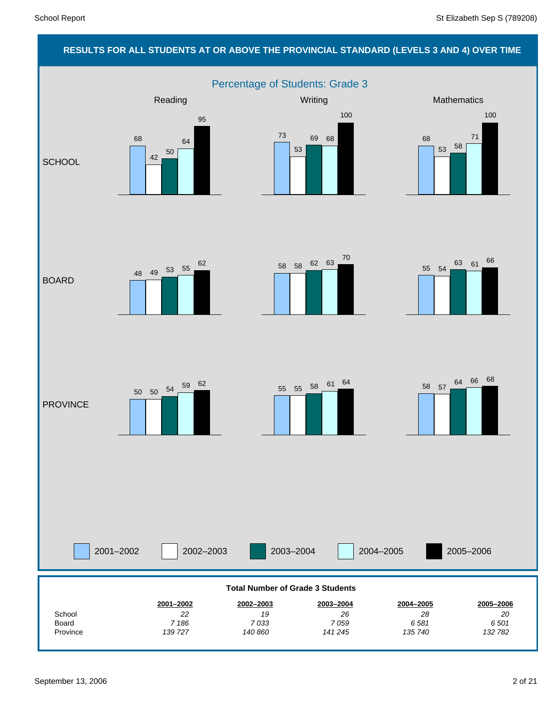# **RESULTS FOR ALL STUDENTS AT OR ABOVE THE PROVINCIAL STANDARD (LEVELS 3 AND 4) OVER TIME**

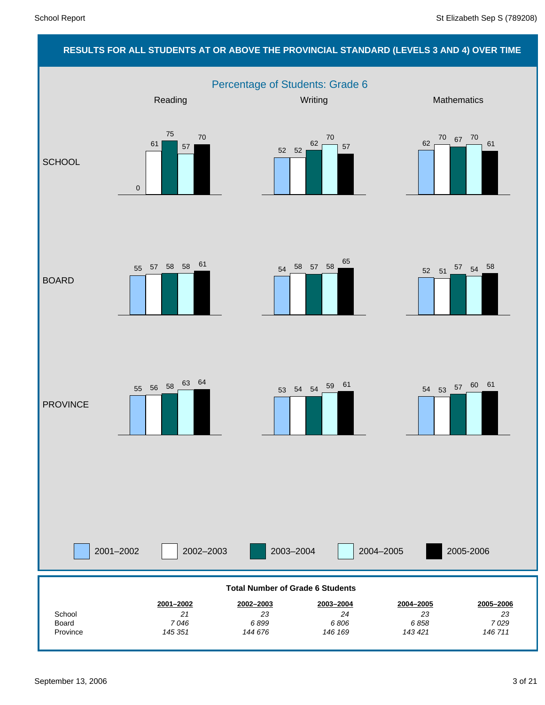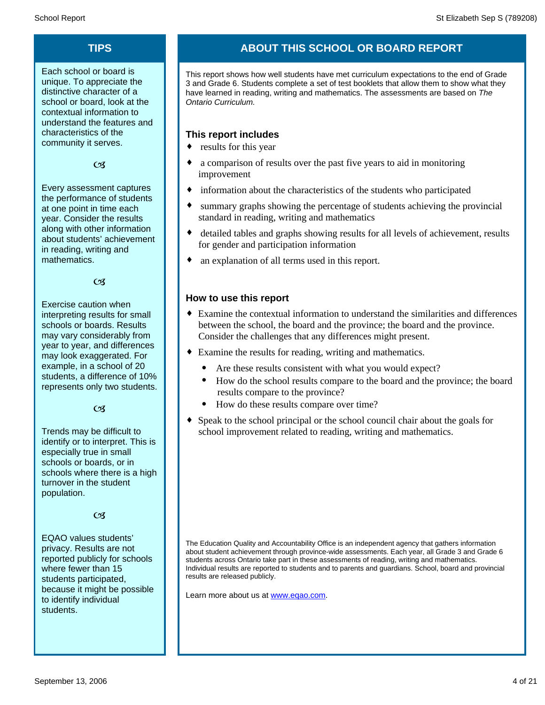Each school or board is unique. To appreciate the distinctive character of a school or board, look at the contextual information to understand the features and characteristics of the community it serves.

### $C<sub>3</sub>$

Every assessment captures the performance of students at one point in time each year. Consider the results along with other information about students' achievement in reading, writing and mathematics.

 $\alpha$ 

Exercise caution when interpreting results for small schools or boards. Results may vary considerably from year to year, and differences may look exaggerated. For example, in a school of 20 students, a difference of 10% represents only two students.

 $C<sub>3</sub>$ 

Trends may be difficult to identify or to interpret. This is especially true in small schools or boards, or in schools where there is a high turnover in the student population.

### $\alpha$

EQAO values students' privacy. Results are not reported publicly for schools where fewer than 15 students participated, because it might be possible to identify individual students.

# **TIPS ABOUT THIS SCHOOL OR BOARD REPORT**

This report shows how well students have met curriculum expectations to the end of Grade 3 and Grade 6. Students complete a set of test booklets that allow them to show what they have learned in reading, writing and mathematics. The assessments are based on *The Ontario Curriculum.*

### **This report includes**

- $\bullet$  results for this year
- a comparison of results over the past five years to aid in monitoring improvement
- information about the characteristics of the students who participated
- summary graphs showing the percentage of students achieving the provincial standard in reading, writing and mathematics
- detailed tables and graphs showing results for all levels of achievement, results for gender and participation information
- an explanation of all terms used in this report.

### **How to use this report**

- ¨ Examine the contextual information to understand the similarities and differences between the school, the board and the province; the board and the province. Consider the challenges that any differences might present.
- Examine the results for reading, writing and mathematics.
	- Are these results consistent with what you would expect?
	- · How do the school results compare to the board and the province; the board results compare to the province?
	- · How do these results compare over time?
- Speak to the school principal or the school council chair about the goals for school improvement related to reading, writing and mathematics.

The Education Quality and Accountability Office is an independent agency that gathers information about student achievement through province-wide assessments. Each year, all Grade 3 and Grade 6 students across Ontario take part in these assessments of reading, writing and mathematics. Individual results are reported to students and to parents and guardians. School, board and provincial results are released publicly.

Learn more about us at www.eqao.com.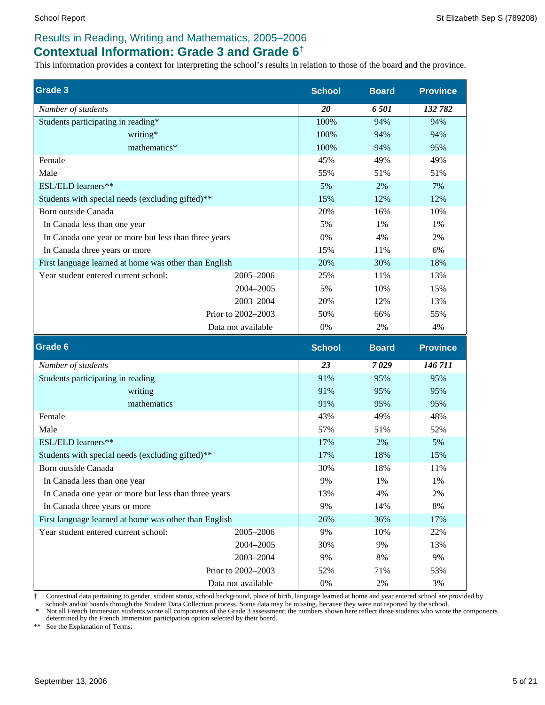### **Contextual Information: Grade 3 and Grade 6**†

This information provides a context for interpreting the school's results in relation to those of the board and the province.

| <b>Grade 3</b>                                        |                    | <b>School</b> | <b>Board</b> | <b>Province</b> |
|-------------------------------------------------------|--------------------|---------------|--------------|-----------------|
| Number of students                                    |                    | 20            | 6501         | 132 782         |
| Students participating in reading*                    |                    | 100%          | 94%          | 94%             |
| writing*                                              |                    | 100%          | 94%          | 94%             |
| mathematics*                                          |                    | 100%          | 94%          | 95%             |
| Female                                                |                    | 45%           | 49%          | 49%             |
| Male                                                  |                    | 55%           | 51%          | 51%             |
| ESL/ELD learners**                                    |                    | 5%            | 2%           | 7%              |
| Students with special needs (excluding gifted)**      |                    | 15%           | 12%          | 12%             |
| Born outside Canada                                   |                    | 20%           | 16%          | 10%             |
| In Canada less than one year                          |                    | 5%            | 1%           | 1%              |
| In Canada one year or more but less than three years  |                    | 0%            | 4%           | 2%              |
| In Canada three years or more                         |                    | 15%           | 11%          | 6%              |
| First language learned at home was other than English |                    | 20%           | 30%          | 18%             |
| Year student entered current school:                  | 2005-2006          | 25%           | 11%          | 13%             |
|                                                       | 2004-2005          | 5%            | 10%          | 15%             |
|                                                       | 2003-2004          | 20%           | 12%          | 13%             |
|                                                       | Prior to 2002-2003 | 50%           | 66%          | 55%             |
|                                                       | Data not available | $0\%$         | $2\%$        | 4%              |
| Grade 6                                               |                    | <b>School</b> | <b>Board</b> | <b>Province</b> |
| Number of students                                    |                    | 23            | 7029         | 146711          |
| Students participating in reading                     |                    | 91%           | 95%          | 95%             |
| writing                                               |                    | 91%           | 95%          | 95%             |
| mathematics                                           |                    | 91%           | 95%          | 95%             |
| Female                                                |                    | 43%           | 49%          | 48%             |
| Male                                                  |                    | 57%           | 51%          | 52%             |
| ESL/ELD learners**                                    |                    | 17%           | 2%           | 5%              |
| Students with special needs (excluding gifted)**      |                    | 17%           | 18%          | 15%             |

† Contextual data pertaining to gender, student status, school background, place of birth, language learned at home and year entered school are provided by

2004–2005

2003–2004

 Prior to 2002–2003 Data not available

schools and/or boards through the Student Data Collection process. Some data may be missing, because they were not reported by the school.<br>\* Not all French Immersion students wrote all components of the Grade 3 assessment; determined by the French Immersion participation option selected by their board.

30% 18% 11% 9% 1% 1% 13% 4% 2% 9% 14% 8% 26% 36% 17% 9% 10% 22%

30% 9% 13% 9% 8% 9% 52% 71% 53% 0% 2% 3%

\*\* See the Explanation of Terms.

Born outside Canada

In Canada three years or more

In Canada less than one year

Year student entered current school: 2005–2006

In Canada one year or more but less than three years

First language learned at home was other than English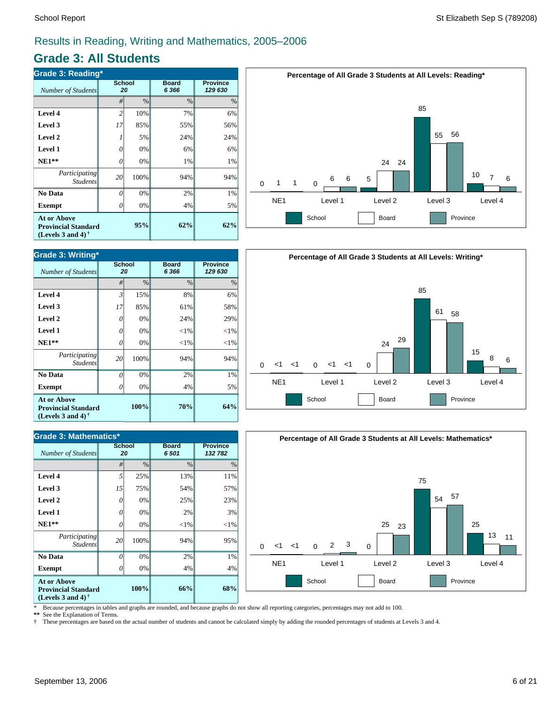### **Grade 3: All Students**

| <b>Grade 3: Reading*</b>                                                       |                     |      |                         |                            |  |  |  |  |
|--------------------------------------------------------------------------------|---------------------|------|-------------------------|----------------------------|--|--|--|--|
| Number of Students                                                             | <b>School</b><br>20 |      | <b>Board</b><br>6 3 6 6 | <b>Province</b><br>129 630 |  |  |  |  |
|                                                                                | #                   | $\%$ | $\frac{0}{0}$           | $\%$                       |  |  |  |  |
| Level 4                                                                        | $\overline{2}$      | 10%  | 7%                      | 6%                         |  |  |  |  |
| Level 3                                                                        | 17                  | 85%  | 55%                     | 56%                        |  |  |  |  |
| Level 2                                                                        |                     | 5%   | 24%                     | 24%                        |  |  |  |  |
| Level 1                                                                        | Ω                   | 0%   | 6%                      | 6%                         |  |  |  |  |
| $NE1**$                                                                        | 0                   | 0%   | 1%                      | 1%                         |  |  |  |  |
| Participating<br><b>Students</b>                                               | 20                  | 100% | 94%                     | 94%                        |  |  |  |  |
| No Data                                                                        | O                   | 0%   | 2%                      | 1%                         |  |  |  |  |
| Exempt                                                                         |                     | 0%   | 4%                      | 5%                         |  |  |  |  |
| <b>At or Above</b><br><b>Provincial Standard</b><br>(Levels 3 and 4) $\dagger$ |                     | 62%  | 62%                     |                            |  |  |  |  |



| <b>Grade 3: Mathematics*</b>                                                   |                     |      |                         |                            |  |  |  |  |
|--------------------------------------------------------------------------------|---------------------|------|-------------------------|----------------------------|--|--|--|--|
| <b>Number of Students</b>                                                      | <b>School</b><br>20 |      | <b>Board</b><br>6 5 0 1 | <b>Province</b><br>132 782 |  |  |  |  |
|                                                                                | #                   | $\%$ | $\frac{0}{0}$           | $\%$                       |  |  |  |  |
| Level 4                                                                        | 5                   | 25%  | 13%                     | 11%                        |  |  |  |  |
| Level 3                                                                        | 15                  | 75%  | 54%                     | 57%                        |  |  |  |  |
| Level 2                                                                        | 0                   | 0%   | 25%                     | 23%                        |  |  |  |  |
| Level 1                                                                        | 0                   | 0%   | 2%                      | 3%                         |  |  |  |  |
| $NE1**$                                                                        | 0                   | 0%   | ${<}1\%$                | ${<}1\%$                   |  |  |  |  |
| Participating<br><b>Students</b>                                               | 20                  | 100% | 94%                     | 95%                        |  |  |  |  |
| No Data                                                                        | O                   | 0%   | 2%                      | 1%                         |  |  |  |  |
| <b>Exempt</b>                                                                  | 0                   | 0%   | 4%                      | 4%                         |  |  |  |  |
| <b>At or Above</b><br><b>Provincial Standard</b><br>(Levels 3 and 4) $\dagger$ |                     | 66%  | 68%                     |                            |  |  |  |  |







\* Because percentages in tables and graphs are rounded, and because graphs do not show all reporting categories, percentages may not add to 100.

**\*\*** See the Explanation of Terms.

† These percentages are based on the actual number of students and cannot be calculated simply by adding the rounded percentages of students at Levels 3 and 4.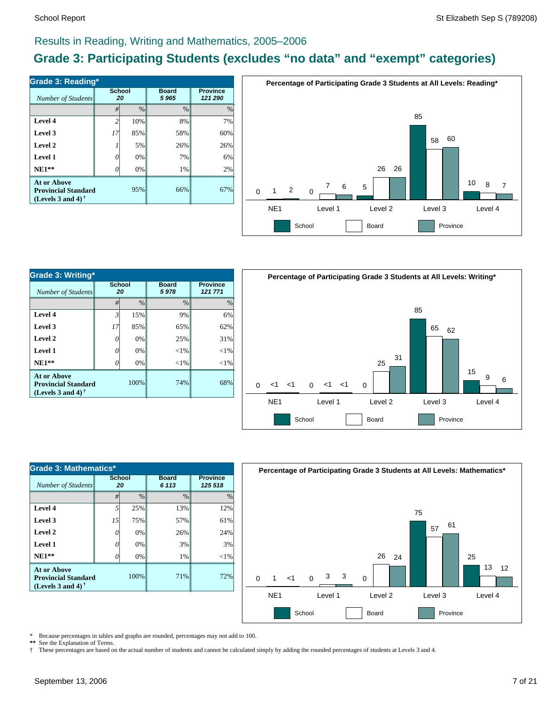# **Grade 3: Participating Students (excludes "no data" and "exempt" categories)**

| Number of Students                                                             | <b>School</b><br>20 |               | <b>Board</b><br>5965 | <b>Province</b><br>121 290 |  |
|--------------------------------------------------------------------------------|---------------------|---------------|----------------------|----------------------------|--|
|                                                                                | #                   | $\frac{0}{0}$ | $\frac{0}{0}$        | $\%$                       |  |
| Level 4                                                                        | $\overline{c}$      | 10%           | 8%                   | 7%                         |  |
| Level 3                                                                        | 17                  | 85%           | 58%                  | 60%                        |  |
| Level 2                                                                        |                     | 5%            | 26%                  | 26%                        |  |
| Level 1                                                                        | 0                   | 0%            | 7%                   | 6%                         |  |
| $NE1**$                                                                        | O                   | 0%            | 1%                   | 2%                         |  |
| <b>At or Above</b><br><b>Provincial Standard</b><br>(Levels 3 and 4) $\dagger$ |                     | 95%           | 66%                  | 67%                        |  |



| Grade 3: Writing*                                                       |                     |      |                      |          |  |  |  |
|-------------------------------------------------------------------------|---------------------|------|----------------------|----------|--|--|--|
| Number of Students                                                      | <b>School</b><br>20 |      | <b>Board</b><br>5978 |          |  |  |  |
|                                                                         | #                   | %    | $\frac{0}{0}$        | $\%$     |  |  |  |
| Level 4                                                                 | $\mathfrak{Z}$      | 15%  | 9%                   | 6%       |  |  |  |
| Level 3                                                                 | 17                  | 85%  | 65%                  | 62%      |  |  |  |
| Level 2                                                                 | 0                   | 0%   | 25%                  | 31%      |  |  |  |
| Level 1                                                                 | 7                   | 0%   | $<$ 1%               | ${<}1\%$ |  |  |  |
| $NE1**$                                                                 |                     | 0%   | $<$ 1%               | ${<}1\%$ |  |  |  |
| At or Above<br><b>Provincial Standard</b><br>(Levels 3 and 4) $\dagger$ |                     | 100% | 74%                  | 68%      |  |  |  |



| Grade 3: Mathematics*                                                          |              |               |                         |        |  |  |  |  |
|--------------------------------------------------------------------------------|--------------|---------------|-------------------------|--------|--|--|--|--|
| Number of Students                                                             | School<br>20 |               | <b>Board</b><br>6 1 1 3 |        |  |  |  |  |
|                                                                                | #            | $\frac{0}{0}$ | $\frac{0}{0}$           | $\%$   |  |  |  |  |
| Level 4                                                                        | 5            | 25%           | 13%                     | 12%    |  |  |  |  |
| Level 3                                                                        | 15           | 75%           | 57%                     | 61%    |  |  |  |  |
| Level 2                                                                        |              | 0%            | 26%                     | 24%    |  |  |  |  |
| Level 1                                                                        | Ω            | 0%            | 3%                      | 3%     |  |  |  |  |
| $NE1**$                                                                        |              | 0%            | 1%                      | $<$ 1% |  |  |  |  |
| <b>At or Above</b><br><b>Provincial Standard</b><br>(Levels 3 and 4) $\dagger$ |              | 100%          | 71%                     | 72%    |  |  |  |  |



\* Because percentages in tables and graphs are rounded, percentages may not add to 100.

\*\* See the Explanation of Terms.<br>
<sup>†</sup> These percentages are based o † These percentages are based on the actual number of students and cannot be calculated simply by adding the rounded percentages of students at Levels 3 and 4.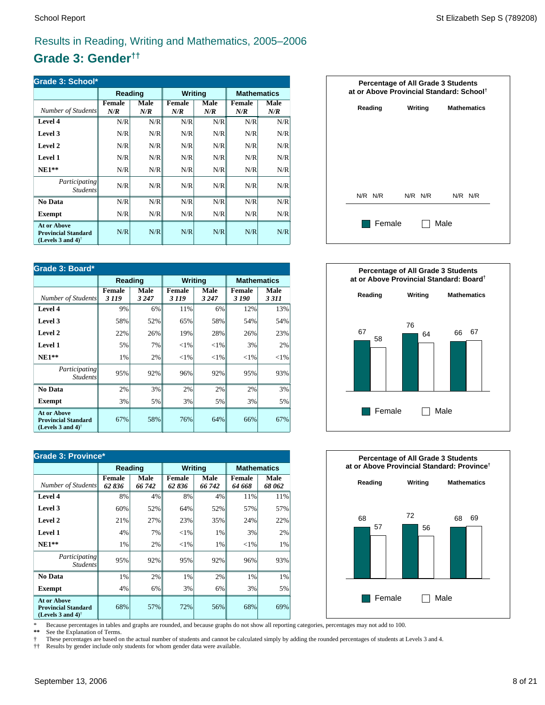# **Grade 3: Gender††**

| Grade 3: School*                                                                                     |               |             |               |                    |                      |             |  |
|------------------------------------------------------------------------------------------------------|---------------|-------------|---------------|--------------------|----------------------|-------------|--|
|                                                                                                      | Reading       |             | Writing       |                    | <b>Mathematics</b>   |             |  |
| Number of Students                                                                                   | Female<br>N/R | Male<br>N/R | Female<br>N/R | <b>Male</b><br>N/R | <b>Female</b><br>N/R | Male<br>N/R |  |
| Level 4                                                                                              | N/R           | N/R         | N/R           | N/R                | N/R                  | N/R         |  |
| Level 3                                                                                              | N/R           | N/R         | N/R           | N/R                | N/R                  | N/R         |  |
| Level 2                                                                                              | N/R           | N/R         | N/R           | N/R                | N/R                  | N/R         |  |
| Level 1                                                                                              | N/R           | N/R         | N/R           | N/R                | N/R                  | N/R         |  |
| $NE1**$                                                                                              | N/R           | N/R         | N/R           | N/R                | N/R                  | N/R         |  |
| Participating<br><b>Students</b>                                                                     | N/R           | N/R         | N/R           | N/R                | N/R                  | N/R         |  |
| <b>No Data</b>                                                                                       | N/R           | N/R         | N/R           | N/R                | N/R                  | N/R         |  |
| <b>Exempt</b>                                                                                        | N/R           | N/R         | N/R           | N/R                | N/R                  | N/R         |  |
| <b>At or Above</b><br><b>Provincial Standard</b><br>(Levels 3 and 4) <sup><math>\dagger</math></sup> | N/R           | N/R         | N/R           | N/R                | N/R                  | N/R         |  |

| Grade 3: Board*                                                                                      |                          |                 |                         |                 |                        |                 |  |
|------------------------------------------------------------------------------------------------------|--------------------------|-----------------|-------------------------|-----------------|------------------------|-----------------|--|
|                                                                                                      | Reading                  |                 | <b>Writing</b>          |                 | <b>Mathematics</b>     |                 |  |
| Number of Students                                                                                   | <b>Female</b><br>3 1 1 9 | Male<br>3 2 4 7 | <b>Female</b><br>3 1 19 | Male<br>3 2 4 7 | <b>Female</b><br>3 190 | Male<br>3 3 1 1 |  |
| Level 4                                                                                              | 9%                       | 6%              | 11%                     | 6%              | 12%                    | 13%             |  |
| Level 3                                                                                              | 58%                      | 52%             | 65%                     | 58%             | 54%                    | 54%             |  |
| Level 2                                                                                              | 22%                      | 26%             | 19%                     | 28%             | 26%                    | 23%             |  |
| Level 1                                                                                              | 5%                       | 7%              | ${<}1\%$                | ${<}1\%$        | 3%                     | 2%              |  |
| $NE1**$                                                                                              | 1%                       | 2%              | ${<}1\%$                | ${<}1\%$        | ${<}1\%$               | ${<}1\%$        |  |
| Participating<br><i>Students</i>                                                                     | 95%                      | 92%             | 96%                     | 92%             | 95%                    | 93%             |  |
| No Data                                                                                              | 2%                       | 3%              | 2%                      | 2%              | 2%                     | 3%              |  |
| <b>Exempt</b>                                                                                        | 3%                       | 5%              | 3%                      | 5%              | 3%                     | 5%              |  |
| <b>At or Above</b><br><b>Provincial Standard</b><br>(Levels 3 and 4) <sup><math>\dagger</math></sup> | 67%                      | 58%             | 76%                     | 64%             | 66%                    | 67%             |  |

| <b>Grade 3: Province*</b>                                                      |                        |                |                        |                       |                         |                |  |
|--------------------------------------------------------------------------------|------------------------|----------------|------------------------|-----------------------|-------------------------|----------------|--|
|                                                                                | Reading                |                | <b>Writing</b>         |                       | <b>Mathematics</b>      |                |  |
| Number of Students                                                             | <b>Female</b><br>62836 | Male<br>66 742 | <b>Female</b><br>62836 | <b>Male</b><br>66 742 | <b>Female</b><br>64 668 | Male<br>68 062 |  |
| Level 4                                                                        | 8%                     | 4%             | 8%                     | 4%                    | 11%                     | 11%            |  |
| Level 3                                                                        | 60%                    | 52%            | 64%                    | 52%                   | 57%                     | 57%            |  |
| Level 2                                                                        | 21%                    | 27%            | 23%                    | 35%                   | 24%                     | 22%            |  |
| <b>Level 1</b>                                                                 | 4%                     | 7%             | ${<}1\%$               | 1%                    | 3%                      | 2%             |  |
| $NE1**$                                                                        | 1%                     | 2%             | $<$ 1%                 | 1%                    | ${<}1\%$                | 1%             |  |
| Participating<br><b>Students</b>                                               | 95%                    | 92%            | 95%                    | 92%                   | 96%                     | 93%            |  |
| No Data                                                                        | 1%                     | 2%             | 1%                     | 2%                    | 1%                      | 1%             |  |
| <b>Exempt</b>                                                                  | 4%                     | 6%             | 3%                     | 6%                    | 3%                      | 5%             |  |
| <b>At or Above</b><br><b>Provincial Standard</b><br>(Levels 3 and 4) $\dagger$ | 68%                    | 57%            | 72%                    | 56%                   | 68%                     | 69%            |  |







\* Because percentages in tables and graphs are rounded, and because graphs do not show all reporting categories, percentages may not add to 100.

See the Explanation of Terms.

† These percentages are based on the actual number of students and cannot be calculated simply by adding the rounded percentages of students at Levels 3 and 4.<br>†† Results by gender include only students for whom gender dat

†† Results by gender include only students for whom gender data were available.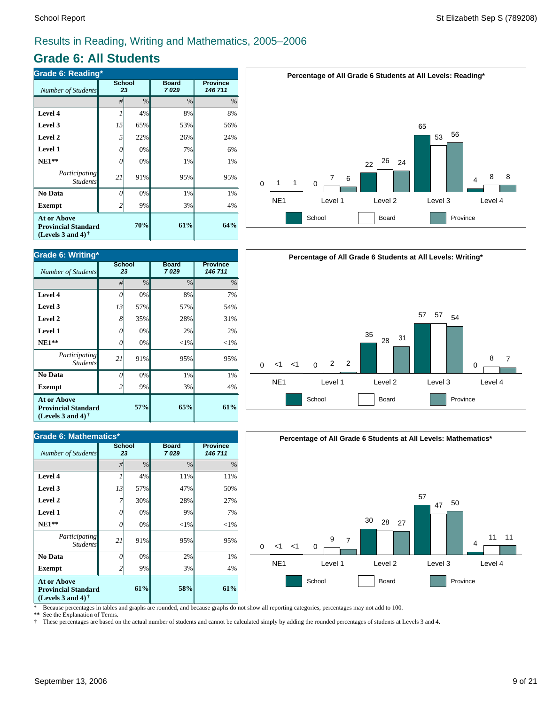# **Grade 6: All Students**

| Grade 6: Reading*                                                                                    |                     |      |                      |                            |  |  |  |
|------------------------------------------------------------------------------------------------------|---------------------|------|----------------------|----------------------------|--|--|--|
| Number of Students                                                                                   | <b>School</b><br>23 |      | <b>Board</b><br>7029 | <b>Province</b><br>146 711 |  |  |  |
|                                                                                                      | #                   | $\%$ | $\%$                 | $\%$                       |  |  |  |
| Level 4                                                                                              |                     | 4%   | 8%                   | 8%                         |  |  |  |
| Level 3                                                                                              | 15                  | 65%  | 53%                  | 56%                        |  |  |  |
| Level 2                                                                                              | 5                   | 22%  | 26%                  | 24%                        |  |  |  |
| <b>Level 1</b>                                                                                       | O                   | 0%   | 7%                   | 6%                         |  |  |  |
| $NE1**$                                                                                              | 0                   | 0%   | 1%                   | 1%                         |  |  |  |
| Participating<br><b>Students</b>                                                                     | 21                  | 91%  | 95%                  | 95%                        |  |  |  |
| No Data                                                                                              | Ω                   | 0%   | 1%                   | 1%                         |  |  |  |
| <b>Exempt</b>                                                                                        |                     | 9%   | 3%                   | 4%                         |  |  |  |
| <b>At or Above</b><br><b>Provincial Standard</b><br>(Levels 3 and 4) <sup><math>\dagger</math></sup> |                     | 61%  | 64%                  |                            |  |  |  |



| Grade 6: Mathematics*                                                          |                     |      |                      |                            |  |  |  |
|--------------------------------------------------------------------------------|---------------------|------|----------------------|----------------------------|--|--|--|
| <b>Number of Students</b>                                                      | <b>School</b><br>23 |      | <b>Board</b><br>7029 | <b>Province</b><br>146 711 |  |  |  |
|                                                                                | #                   | $\%$ | $\frac{0}{0}$        | %                          |  |  |  |
| Level 4                                                                        |                     | 4%   | 11%                  | 11%                        |  |  |  |
| Level 3                                                                        | 13                  | 57%  | 47%                  | 50%                        |  |  |  |
| Level 2                                                                        |                     | 30%  | 28%                  | 27%                        |  |  |  |
| <b>Level 1</b>                                                                 | 0                   | 0%   | 9%                   | 7%                         |  |  |  |
| $NE1**$                                                                        | 0                   | 0%   | $<$ 1%               | $<$ 1%                     |  |  |  |
| Participating<br><b>Students</b>                                               | 21                  | 91%  | 95%                  | 95%                        |  |  |  |
| No Data                                                                        | N                   | 0%   | 2%                   | 1%                         |  |  |  |
| <b>Exempt</b>                                                                  | 2                   | 9%   | 3%                   | 4%                         |  |  |  |
| <b>At or Above</b><br><b>Provincial Standard</b><br>(Levels 3 and 4) $\dagger$ |                     | 58%  | 61%                  |                            |  |  |  |







\* Because percentages in tables and graphs are rounded, and because graphs do not show all reporting categories, percentages may not add to 100.

**\*\*** See the Explanation of Terms.

† These percentages are based on the actual number of students and cannot be calculated simply by adding the rounded percentages of students at Levels 3 and 4.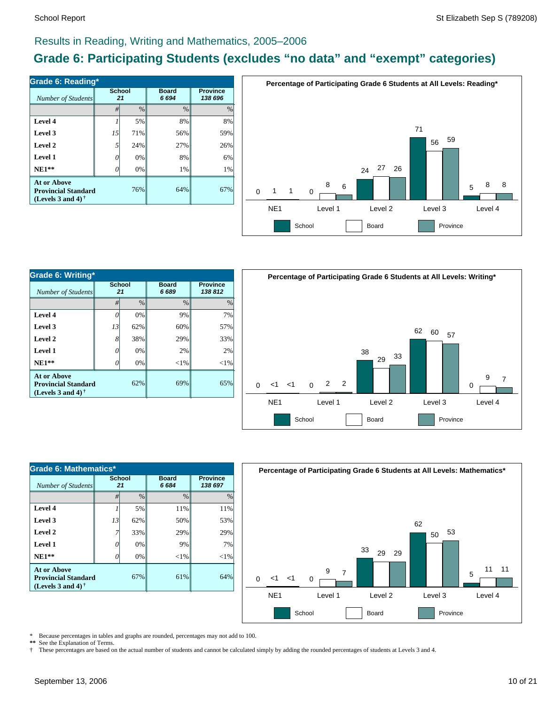# **Grade 6: Participating Students (excludes "no data" and "exempt" categories)**

| Number of Students                                                                            | <b>School</b><br>21 |               | <b>Board</b><br>6694 | <b>Province</b><br>138 696 |  |
|-----------------------------------------------------------------------------------------------|---------------------|---------------|----------------------|----------------------------|--|
|                                                                                               | #                   | $\frac{0}{0}$ | $\frac{0}{0}$        | $\%$                       |  |
| Level 4                                                                                       |                     | 5%            | 8%                   | 8%                         |  |
| Level 3                                                                                       | 15                  | 71%           | 56%                  | 59%                        |  |
| Level 2                                                                                       | 5                   | 24%           | 27%                  | 26%                        |  |
| Level 1                                                                                       | G                   | 0%            | 8%                   | 6%                         |  |
| $NE1**$                                                                                       |                     | 0%            | 1%                   | 1%                         |  |
| At or Above<br><b>Provincial Standard</b><br>(Levels 3 and 4) <sup><math>\dagger</math></sup> |                     | 76%           | 64%                  | 67%                        |  |



| Grade 6: Writing*                                                       |              |               |                      |          |  |  |  |
|-------------------------------------------------------------------------|--------------|---------------|----------------------|----------|--|--|--|
| Number of Students                                                      | School<br>21 |               | <b>Board</b><br>6689 |          |  |  |  |
|                                                                         | #            | $\frac{0}{0}$ | $\frac{0}{0}$        | $\%$     |  |  |  |
| Level 4                                                                 | 7            | 0%            | 9%                   | 7%       |  |  |  |
| Level 3                                                                 | 13           | 62%           | 60%                  | 57%      |  |  |  |
| Level 2                                                                 | 8'           | 38%           | 29%                  | 33%      |  |  |  |
| Level 1                                                                 | 0            | 0%            | 2%                   | 2%       |  |  |  |
| $NE1**$                                                                 |              | 0%            | $<$ 1%               | ${<}1\%$ |  |  |  |
| At or Above<br><b>Provincial Standard</b><br>(Levels 3 and 4) $\dagger$ |              | 62%           | 69%                  | 65%      |  |  |  |



| Grade 6: Mathematics*                                                          |              |               |                      |                            |  |  |  |
|--------------------------------------------------------------------------------|--------------|---------------|----------------------|----------------------------|--|--|--|
| Number of Students                                                             | School<br>21 |               | <b>Board</b><br>6684 | <b>Province</b><br>138 697 |  |  |  |
|                                                                                | #            | $\frac{0}{0}$ | $\frac{0}{0}$        | $\frac{0}{0}$              |  |  |  |
| Level 4                                                                        |              | 5%            | 11%                  | 11%                        |  |  |  |
| Level 3                                                                        | 13           | 62%           | 50%                  | 53%                        |  |  |  |
| Level 2                                                                        |              | 33%           | 29%                  | 29%                        |  |  |  |
| Level 1                                                                        | 0            | 0%            | 9%                   | 7%                         |  |  |  |
| $NE1**$                                                                        |              | 0%            | ${<}1\%$             | $<$ 1%                     |  |  |  |
| <b>At or Above</b><br><b>Provincial Standard</b><br>(Levels 3 and 4) $\dagger$ |              | 67%           | 61%                  | 64%                        |  |  |  |



\* Because percentages in tables and graphs are rounded, percentages may not add to 100.

\*\* See the Explanation of Terms.<br>
<sup>†</sup> These percentages are based o † These percentages are based on the actual number of students and cannot be calculated simply by adding the rounded percentages of students at Levels 3 and 4.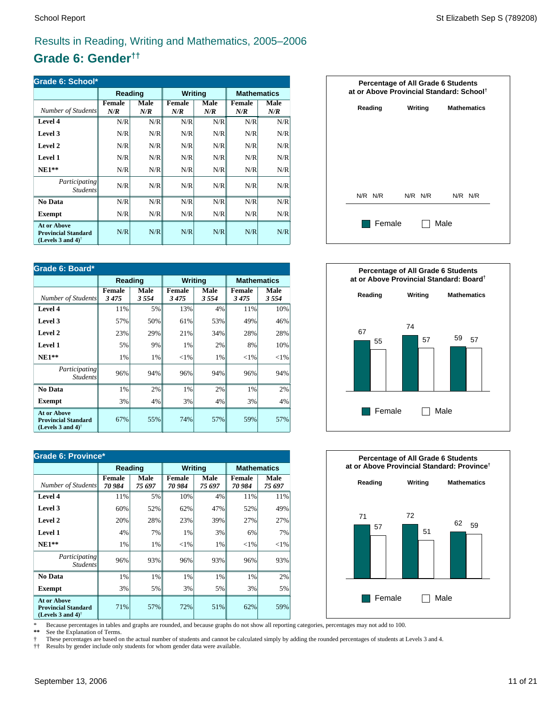# **Grade 6: Gender††**

| Grade 6: School*                                                                                     |               |             |               |                    |                      |             |  |
|------------------------------------------------------------------------------------------------------|---------------|-------------|---------------|--------------------|----------------------|-------------|--|
|                                                                                                      | Reading       |             | Writing       |                    | <b>Mathematics</b>   |             |  |
| Number of Students                                                                                   | Female<br>N/R | Male<br>N/R | Female<br>N/R | <b>Male</b><br>N/R | <b>Female</b><br>N/R | Male<br>N/R |  |
| Level 4                                                                                              | N/R           | N/R         | N/R           | N/R                | N/R                  | N/R         |  |
| Level 3                                                                                              | N/R           | N/R         | N/R           | N/R                | N/R                  | N/R         |  |
| Level 2                                                                                              | N/R           | N/R         | N/R           | N/R                | N/R                  | N/R         |  |
| Level 1                                                                                              | N/R           | N/R         | N/R           | N/R                | N/R                  | N/R         |  |
| $NE1**$                                                                                              | N/R           | N/R         | N/R           | N/R                | N/R                  | N/R         |  |
| Participating<br><b>Students</b>                                                                     | N/R           | N/R         | N/R           | N/R                | N/R                  | N/R         |  |
| <b>No Data</b>                                                                                       | N/R           | N/R         | N/R           | N/R                | N/R                  | N/R         |  |
| <b>Exempt</b>                                                                                        | N/R           | N/R         | N/R           | N/R                | N/R                  | N/R         |  |
| <b>At or Above</b><br><b>Provincial Standard</b><br>(Levels 3 and 4) <sup><math>\dagger</math></sup> | N/R           | N/R         | N/R           | N/R                | N/R                  | N/R         |  |

| Grade 6: Board*                                                                                      |                |              |                       |                |                |                    |  |
|------------------------------------------------------------------------------------------------------|----------------|--------------|-----------------------|----------------|----------------|--------------------|--|
|                                                                                                      | Reading        |              |                       | <b>Writing</b> |                | <b>Mathematics</b> |  |
| Number of Students                                                                                   | Female<br>3475 | Male<br>3554 | <b>Female</b><br>3475 | Male<br>3554   | Female<br>3475 | Male<br>3554       |  |
| Level 4                                                                                              | 11%            | 5%           | 13%                   | 4%             | 11%            | 10%                |  |
| Level 3                                                                                              | 57%            | 50%          | 61%                   | 53%            | 49%            | 46%                |  |
| Level 2                                                                                              | 23%            | 29%          | 21%                   | 34%            | 28%            | 28%                |  |
| Level 1                                                                                              | 5%             | 9%           | 1%                    | 2%             | 8%             | 10%                |  |
| $NE1**$                                                                                              | 1%             | 1%           | ${<}1\%$              | 1%             | ${<}1\%$       | ${<}1\%$           |  |
| Participating<br><i>Students</i>                                                                     | 96%            | 94%          | 96%                   | 94%            | 96%            | 94%                |  |
| No Data                                                                                              | 1%             | 2%           | 1%                    | 2%             | 1%             | 2%                 |  |
| Exempt                                                                                               | 3%             | 4%           | 3%                    | 4%             | 3%             | 4%                 |  |
| <b>At or Above</b><br><b>Provincial Standard</b><br>(Levels 3 and 4) <sup><math>\dagger</math></sup> | 67%            | 55%          | 74%                   | 57%            | 59%            | 57%                |  |

| Grade 6: Province*                                                                                   |                         |                |                         |                       |                         |                    |  |
|------------------------------------------------------------------------------------------------------|-------------------------|----------------|-------------------------|-----------------------|-------------------------|--------------------|--|
|                                                                                                      | Reading                 |                | <b>Writing</b>          |                       |                         | <b>Mathematics</b> |  |
| Number of Students                                                                                   | <b>Female</b><br>70 984 | Male<br>75 697 | <b>Female</b><br>70 984 | <b>Male</b><br>75 697 | <b>Female</b><br>70 984 | Male<br>75 697     |  |
| Level 4                                                                                              | 11%                     | 5%             | 10%                     | 4%                    | 11%                     | 11%                |  |
| Level 3                                                                                              | 60%                     | 52%            | 62%                     | 47%                   | 52%                     | 49%                |  |
| Level 2                                                                                              | 20%                     | 28%            | 23%                     | 39%                   | 27%                     | 27%                |  |
| <b>Level 1</b>                                                                                       | 4%                      | 7%             | 1%                      | 3%                    | 6%                      | 7%                 |  |
| $NE1**$                                                                                              | 1%                      | 1%             | ${<}1\%$                | 1%                    | ${<}1\%$                | ${<}1\%$           |  |
| Participating<br><b>Students</b>                                                                     | 96%                     | 93%            | 96%                     | 93%                   | 96%                     | 93%                |  |
| No Data                                                                                              | 1%                      | 1%             | 1%                      | 1%                    | 1%                      | 2%                 |  |
| <b>Exempt</b>                                                                                        | 3%                      | 5%             | 3%                      | 5%                    | 3%                      | 5%                 |  |
| <b>At or Above</b><br><b>Provincial Standard</b><br>(Levels 3 and 4) <sup><math>\dagger</math></sup> | 71%                     | 57%            | 72%                     | 51%                   | 62%                     | 59%                |  |







\* Because percentages in tables and graphs are rounded, and because graphs do not show all reporting categories, percentages may not add to 100.

See the Explanation of Terms.

† These percentages are based on the actual number of students and cannot be calculated simply by adding the rounded percentages of students at Levels 3 and 4.<br>†† Results by gender include only students for whom gender dat

†† Results by gender include only students for whom gender data were available.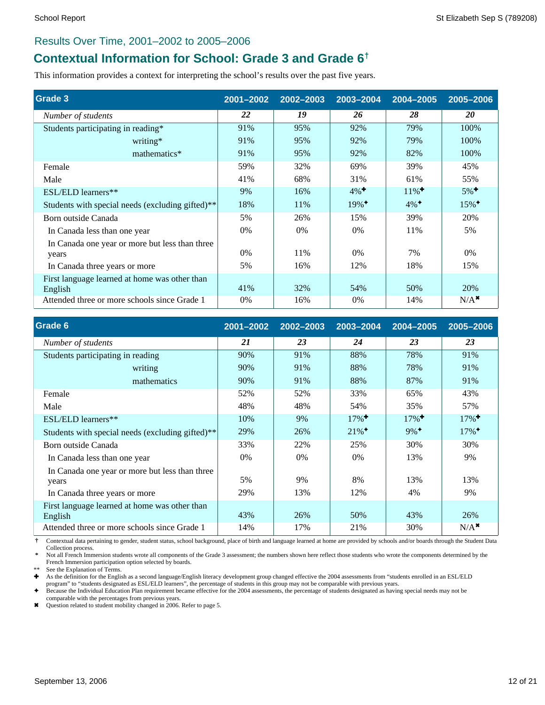### Results Over Time, 2001–2002 to 2005–2006

# **Contextual Information for School: Grade 3 and Grade 6†**

This information provides a context for interpreting the school's results over the past five years.

| Grade 3                                                  | 2001-2002 | 2002-2003 | 2003-2004           | 2004-2005           | 2005-2006           |
|----------------------------------------------------------|-----------|-----------|---------------------|---------------------|---------------------|
| Number of students                                       | 22        | 19        | 26                  | 28                  | 20                  |
| Students participating in reading*                       | 91%       | 95%       | 92%                 | 79%                 | 100%                |
| writing*                                                 | 91%       | 95%       | 92%                 | 79%                 | 100%                |
| mathematics*                                             | 91%       | 95%       | 92%                 | 82%                 | 100%                |
| Female                                                   | 59%       | 32%       | 69%                 | 39%                 | 45%                 |
| Male                                                     | 41%       | 68%       | 31%                 | 61%                 | 55%                 |
| ESL/ELD learners**                                       | 9%        | 16%       | $4\%$ <sup>+</sup>  | $11\%$ <sup>+</sup> | $5\%$ <sup>+</sup>  |
| Students with special needs (excluding gifted)**         | 18%       | 11%       | $19\%$ <sup>+</sup> | $4\%$ <sup>+</sup>  | $15\%$ <sup>+</sup> |
| Born outside Canada                                      | 5%        | 26%       | 15%                 | 39%                 | 20%                 |
| In Canada less than one year                             | $0\%$     | $0\%$     | $0\%$               | 11%                 | 5%                  |
| In Canada one year or more but less than three           |           |           |                     |                     |                     |
| years                                                    | $0\%$     | 11%       | $0\%$               | 7%                  | $0\%$               |
| In Canada three years or more                            | 5%        | 16%       | 12%                 | 18%                 | 15%                 |
| First language learned at home was other than<br>English | 41%       | 32%       | 54%                 | 50%                 | 20%                 |
| Attended three or more schools since Grade 1             | 0%        | 16%       | 0%                  | 14%                 | $N/A$ <sup>*</sup>  |

| Grade 6                                                 | 2001-2002 | 2002-2003 | 2003-2004           | 2004-2005           | 2005-2006           |
|---------------------------------------------------------|-----------|-----------|---------------------|---------------------|---------------------|
| Number of students                                      | 21        | 23        | 24                  | 23                  | 23                  |
| Students participating in reading                       | 90%       | 91%       | 88%                 | 78%                 | 91%                 |
| writing                                                 | 90%       | 91%       | 88%                 | 78%                 | 91%                 |
| mathematics                                             | 90%       | 91%       | 88%                 | 87%                 | 91%                 |
| Female                                                  | 52%       | 52%       | 33%                 | 65%                 | 43%                 |
| Male                                                    | 48%       | 48%       | 54%                 | 35%                 | 57%                 |
| ESL/ELD learners**                                      | 10%       | 9%        | $17\%$ <sup>+</sup> | $17\%$ <sup>+</sup> | $17\%$ <sup>+</sup> |
| Students with special needs (excluding gifted)**        | 29%       | 26%       | $21\%$ <sup>+</sup> | $9\%$ <sup>+</sup>  | $17\%$ <sup>+</sup> |
| Born outside Canada                                     | 33%       | 22%       | 25%                 | 30%                 | 30%                 |
| In Canada less than one year                            | $0\%$     | $0\%$     | 0%                  | 13%                 | 9%                  |
| In Canada one year or more but less than three<br>years | 5%        | 9%        | 8%                  | 13%                 | 13%                 |
| In Canada three years or more                           | 29%       | 13%       | 12%                 | 4%                  | 9%                  |
| First language learned at home was other than           |           |           |                     |                     |                     |
| English                                                 | 43%       | 26%       | 50%                 | 43%                 | 26%                 |
| Attended three or more schools since Grade 1            | 14%       | 17%       | 21%                 | 30%                 | $N/A^*$             |

 **†** Contextual data pertaining to gender, student status, school background, place of birth and language learned at home are provided by schools and/or boards through the Student Data Collection process.

 **\*** Not all French Immersion students wrote all components of the Grade 3 assessment; the numbers shown here reflect those students who wrote the components determined by the French Immersion participation option selected by boards.

See the Explanation of Terms.

Ì As the definition for the English as a second language/English literacy development group changed effective the 2004 assessments from "students enrolled in an ESL/ELD

program" to "students designated as ESL/ELD learners", the percentage of students in this group may not be comparable with previous years.<br>♦ Because the Individual Education Plan requirement became effective for the 2004 comparable with the percentages from previous years.

\* Question related to student mobility changed in 2006. Refer to page 5.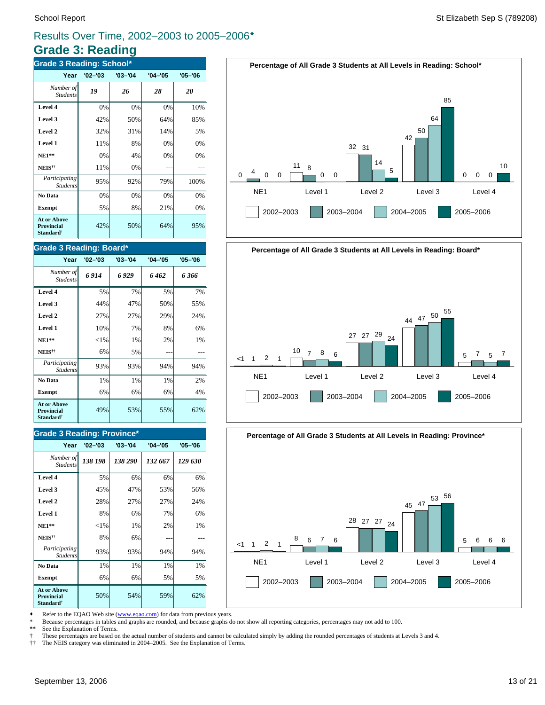# **Grade 3: Reading**

| <b>Grade 3 Reading: School*</b>                           |             |             |             |             |  |  |  |
|-----------------------------------------------------------|-------------|-------------|-------------|-------------|--|--|--|
| Year                                                      | $'02 - '03$ | $'03 - '04$ | $'04 - '05$ | $'05 - '06$ |  |  |  |
| Number of<br><b>Students</b>                              | 19          | 26          | 28          | 20          |  |  |  |
| Level 4                                                   | 0%          | 0%          | 0%          | 10%         |  |  |  |
| Level 3                                                   | 42%         | 50%         | 64%         | 85%         |  |  |  |
| Level 2                                                   | 32%         | 31%         | 14%         | 5%          |  |  |  |
| Level 1                                                   | 11%         | 8%          | 0%          | 0%          |  |  |  |
| <b>NE1**</b>                                              | 0%          | 4%          | 0%          | 0%          |  |  |  |
| NEIS <sup>††</sup>                                        | 11%         | 0%          |             |             |  |  |  |
| Participating<br><b>Students</b>                          | 95%         | 92%         | 79%         | 100%        |  |  |  |
| No Data                                                   | 0%          | 0%          | 0%          | 0%          |  |  |  |
| <b>Exempt</b>                                             | 5%          | 8%          | 21%         | 0%          |  |  |  |
| At or Above<br>Provincial<br><b>Standard</b> <sup>†</sup> | 42%         | 50%         | 64%         | 95%         |  |  |  |

### **Grade 3 Reading: Board\***

| Year                                                                    | $'02 - '03$ | $'03 - '04$ | $'04 - '05$ | $'05 - '06$ |
|-------------------------------------------------------------------------|-------------|-------------|-------------|-------------|
| Number of<br><b>Students</b>                                            | 6914        | 6 929       | 6462        | 6 366       |
| Level 4                                                                 | 5%          | 7%          | 5%          | 7%          |
| Level 3                                                                 | 44%         | 47%         | 50%         | 55%         |
| Level 2                                                                 | 27%         | 27%         | 29%         | 24%         |
| Level 1                                                                 | 10%         | 7%          | 8%          | 6%          |
| $NE1**$                                                                 | ${<}1\%$    | 1%          | 2%          | 1%          |
| NEIS <sup>††</sup>                                                      | 6%          | 5%          |             |             |
| Participating<br><b>Students</b>                                        | 93%         | 93%         | 94%         | 94%         |
| No Data                                                                 | 1%          | 1%          | 1%          | 2%          |
| <b>Exempt</b>                                                           | 6%          | 6%          | 6%          | 4%          |
| <b>At or Above</b><br><b>Provincial</b><br><b>Standard</b> <sup>†</sup> | 49%         | 53%         | 55%         | 62%         |

### **Grade 3 Reading: Province\***

| Year                                                                    | $'02 - '03$ | $'03 - '04$ | $'04 - '05$ | $'05 - '06$ |
|-------------------------------------------------------------------------|-------------|-------------|-------------|-------------|
| Number of<br><b>Students</b>                                            | 138 198     | 138 290     | 132 667     | 129 630     |
| Level 4                                                                 | 5%          | 6%          | 6%          | 6%          |
| Level 3                                                                 | 45%         | 47%         | 53%         | 56%         |
| Level 2                                                                 | 28%         | 27%         | 27%         | 24%         |
| Level 1                                                                 | 8%          | 6%          | 7%          | 6%          |
| $NE1**$                                                                 | ${<}1\%$    | 1%          | 2%          | 1%          |
| NEIS <sup>††</sup>                                                      | 8%          | 6%          |             |             |
| Participating<br><b>Students</b>                                        | 93%         | 93%         | 94%         | 94%         |
| No Data                                                                 | 1%          | 1%          | 1%          | 1%          |
| <b>Exempt</b>                                                           | 6%          | 6%          | 5%          | 5%          |
| <b>At or Above</b><br><b>Provincial</b><br><b>Standard</b> <sup>†</sup> | 50%         | 54%         | 59%         | 62%         |





**Percentage of All Grade 3 Students at All Levels in Reading: Province\***



Refer to the EQAO Web site (www.eqao.com) for data from previous years.

\* Because percentages in tables and graphs are rounded, and because graphs do not show all reporting categories, percentages may not add to 100.

**\*\*** See the Explanation of Terms.

† These percentages are based on the actual number of students and cannot be calculated simply by adding the rounded percentages of students at Levels 3 and 4.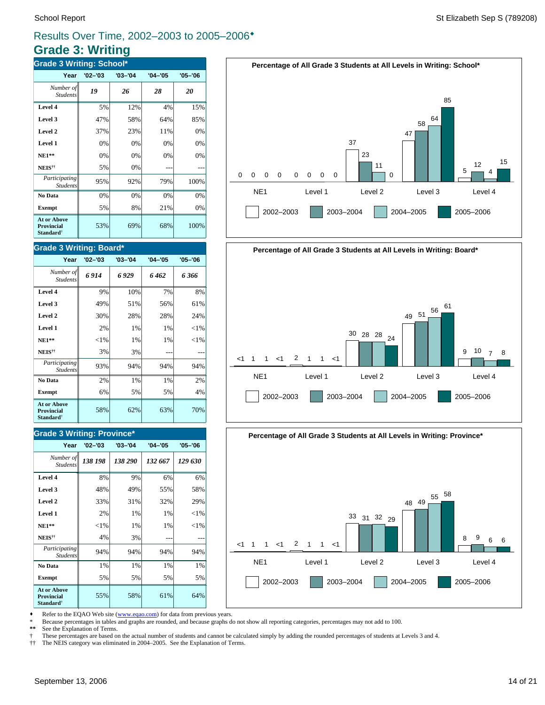# **Grade 3: Writing**

| <b>Grade 3 Writing: School*</b>                                  |             |             |             |             |  |  |  |
|------------------------------------------------------------------|-------------|-------------|-------------|-------------|--|--|--|
| Year                                                             | $'02 - '03$ | $'03 - '04$ | $'04 - '05$ | $'05 - '06$ |  |  |  |
| Number of<br><b>Students</b>                                     | 19          | 26          | 28          | 20          |  |  |  |
| Level 4                                                          | 5%          | 12%         | 4%          | 15%         |  |  |  |
| Level 3                                                          | 47%         | 58%         | 64%         | 85%         |  |  |  |
| Level 2                                                          | 37%         | 23%         | 11%         | 0%          |  |  |  |
| Level 1                                                          | 0%          | 0%          | 0%          | 0%          |  |  |  |
| $NE1**$                                                          | 0%          | 0%          | 0%          | 0%          |  |  |  |
| NEIS <sup>††</sup>                                               | 5%          | 0%          |             |             |  |  |  |
| Participating<br><b>Students</b>                                 | 95%         | 92%         | 79%         | 100%        |  |  |  |
| No Data                                                          | 0%          | 0%          | 0%          | 0%          |  |  |  |
| <b>Exempt</b>                                                    | 5%          | 8%          | 21%         | 0%          |  |  |  |
| <b>At or Above</b><br>Provincial<br><b>Standard</b> <sup>†</sup> | 53%         | 69%         | 68%         | 100%        |  |  |  |

### **Grade 3 Writing: Board\***

| Year                                                      | $'02 - '03$ | $'03 - '04$ | $'04 - '05$ | $'05 - '06$ |
|-----------------------------------------------------------|-------------|-------------|-------------|-------------|
| Number of<br><b>Students</b>                              | 6914        | 6929        | 6462        | 6366        |
| Level 4                                                   | 9%          | 10%         | 7%          | 8%          |
| Level 3                                                   | 49%         | 51%         | 56%         | 61%         |
| Level 2                                                   | 30%         | 28%         | 28%         | 24%         |
| Level 1                                                   | 2%          | 1%          | 1%          | ${<}1\%$    |
| $NE1**$                                                   | ${<}1\%$    | 1%          | 1%          | ${<}1\%$    |
| NEIS <sup>††</sup>                                        | 3%          | 3%          |             |             |
| Participating<br><b>Students</b>                          | 93%         | 94%         | 94%         | 94%         |
| No Data                                                   | 2%          | 1%          | 1%          | 2%          |
| <b>Exempt</b>                                             | 6%          | 5%          | 5%          | 4%          |
| At or Above<br>Provincial<br><b>Standard</b> <sup>†</sup> | 58%         | 62%         | 63%         | 70%         |

### **Grade 3 Writing: Province\***

| Year                                                                    | $'02 - '03$ | $'03 - '04$ | $'04 - '05$ | $'05 - '06$ |
|-------------------------------------------------------------------------|-------------|-------------|-------------|-------------|
| Number of<br><b>Students</b>                                            | 138 198     | 138 290     | 132 667     | 129 630     |
| Level 4                                                                 | 8%          | 9%          | 6%          | 6%          |
| Level 3                                                                 | 48%         | 49%         | 55%         | 58%         |
| Level 2                                                                 | 33%         | 31%         | 32%         | 29%         |
| Level 1                                                                 | 2%          | 1%          | 1%          | ${<}1\%$    |
| $NE1**$                                                                 | $<$ 1%      | 1%          | 1%          | ${<}1\%$    |
| NEIS <sup>††</sup>                                                      | 4%          | 3%          |             |             |
| Participating<br><b>Students</b>                                        | 94%         | 94%         | 94%         | 94%         |
| No Data                                                                 | 1%          | 1%          | 1%          | 1%          |
| <b>Exempt</b>                                                           | 5%          | 5%          | 5%          | 5%          |
| <b>At or Above</b><br><b>Provincial</b><br><b>Standard</b> <sup>†</sup> | 55%         | 58%         | 61%         | 64%         |







Refer to the EQAO Web site (www.eqao.com) for data from previous years.

\* Because percentages in tables and graphs are rounded, and because graphs do not show all reporting categories, percentages may not add to 100.

**\*\*** See the Explanation of Terms.

† These percentages are based on the actual number of students and cannot be calculated simply by adding the rounded percentages of students at Levels 3 and 4.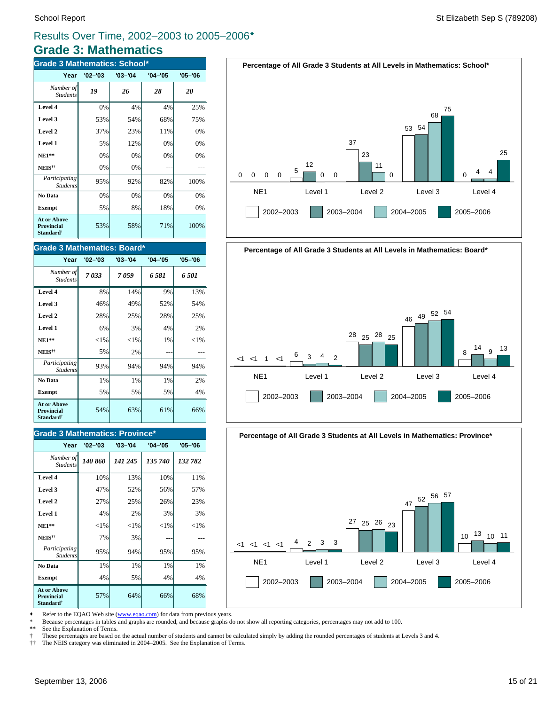### **Grade 3: Mathematics** Results Over Time, 2002–2003 to 2005–2006<sup>\*</sup>

| <b>Grade 3 Mathematics: School*</b>                              |             |             |             |             |
|------------------------------------------------------------------|-------------|-------------|-------------|-------------|
| Year                                                             | $'02 - '03$ | $'03 - '04$ | $'04 - '05$ | $'05 - '06$ |
| Number of<br><b>Students</b>                                     | 19          | 26          | 28          | 20          |
| Level 4                                                          | 0%          | 4%          | 4%          | 25%         |
| Level 3                                                          | 53%         | 54%         | 68%         | 75%         |
| Level 2                                                          | 37%         | 23%         | 11%         | 0%          |
| Level 1                                                          | 5%          | 12%         | 0%          | 0%          |
| $NE1**$                                                          | 0%          | 0%          | 0%          | 0%          |
| NEIS <sup>††</sup>                                               | 0%          | 0%          |             |             |
| Participating<br><b>Students</b>                                 | 95%         | 92%         | 82%         | 100%        |
| No Data                                                          | 0%          | 0%          | 0%          | 0%          |
| <b>Exempt</b>                                                    | 5%          | 8%          | 18%         | 0%          |
| <b>At or Above</b><br>Provincial<br><b>Standard</b> <sup>†</sup> | 53%         | 58%         | 71%         | 100%        |

#### **Grade 3 Mathematics: Board\***

| Year                                                                    | $'02 - '03$ | $'03 - '04$ | $'04 - '05$ | $'05 - '06$ |
|-------------------------------------------------------------------------|-------------|-------------|-------------|-------------|
| Number of<br><b>Students</b>                                            | 7033        | 7059        | 6 581       | 6 501       |
| Level 4                                                                 | 8%          | 14%         | 9%          | 13%         |
| Level 3                                                                 | 46%         | 49%         | 52%         | 54%         |
| Level 2                                                                 | 28%         | 25%         | 28%         | 25%         |
| Level 1                                                                 | 6%          | 3%          | 4%          | 2%          |
| $NE1**$                                                                 | ${<}1\%$    | ${<}1\%$    | 1%          | ${<}1\%$    |
| <b>NEIS</b> <sup>††</sup>                                               | 5%          | 2%          |             |             |
| Participating<br><b>Students</b>                                        | 93%         | 94%         | 94%         | 94%         |
| No Data                                                                 | 1%          | 1%          | 1%          | 2%          |
| <b>Exempt</b>                                                           | 5%          | 5%          | 5%          | 4%          |
| <b>At or Above</b><br><b>Provincial</b><br><b>Standard</b> <sup>†</sup> | 54%         | 63%         | 61%         | 66%         |

### **Grade 3 Mathematics: Province\***

| Year                                                                    | $'02 - '03$ | $'03 - '04$ | $'04 - '05$ | $'05 - '06$ |
|-------------------------------------------------------------------------|-------------|-------------|-------------|-------------|
| Number of<br><b>Students</b>                                            | 140 860     | 141 245     | 135 740     | 132 782     |
| Level 4                                                                 | 10%         | 13%         | 10%         | 11%         |
| Level 3                                                                 | 47%         | 52%         | 56%         | 57%         |
| Level 2                                                                 | 27%         | 25%         | 26%         | 23%         |
| Level 1                                                                 | 4%          | 2%          | 3%          | 3%          |
| $NE1**$                                                                 | $<$ 1%      | ${<}1\%$    | ${<}1\%$    | ${<}1\%$    |
| NEIS <sup>††</sup>                                                      | 7%          | 3%          |             |             |
| Participating<br><b>Students</b>                                        | 95%         | 94%         | 95%         | 95%         |
| No Data                                                                 | 1%          | 1%          | $1\%$       | 1%          |
| <b>Exempt</b>                                                           | 4%          | 5%          | 4%          | 4%          |
| <b>At or Above</b><br><b>Provincial</b><br><b>Standard</b> <sup>†</sup> | 57%         | 64%         | 66%         | 68%         |





**Percentage of All Grade 3 Students at All Levels in Mathematics: Province\***



• Refer to the EQAO Web site (www.eqao.com) for data from previous years.

\* Because percentages in tables and graphs are rounded, and because graphs do not show all reporting categories, percentages may not add to 100.

**\*\*** See the Explanation of Terms.

† These percentages are based on the actual number of students and cannot be calculated simply by adding the rounded percentages of students at Levels 3 and 4.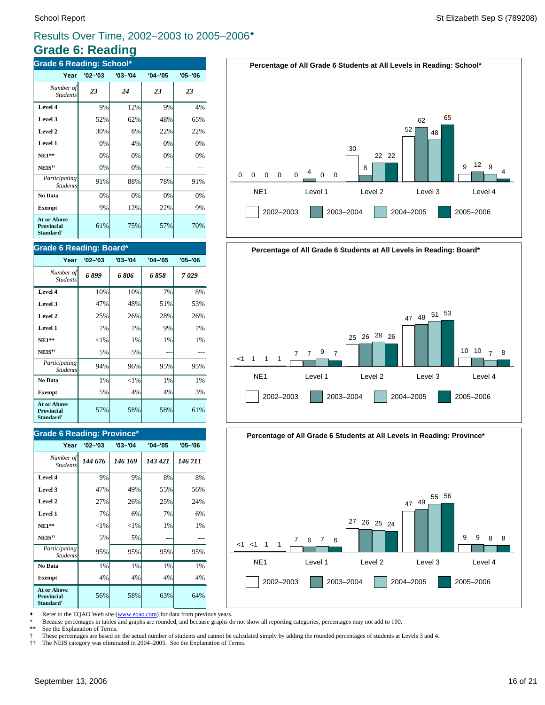# **Grade 6: Reading**

| <b>Grade 6 Reading: School*</b>                                  |             |             |             |             |  |
|------------------------------------------------------------------|-------------|-------------|-------------|-------------|--|
| Year                                                             | $'02 - '03$ | $'03 - '04$ | $'04 - '05$ | $'05 - '06$ |  |
| Number of<br><b>Students</b>                                     | 23          | 24          | 23          | 23          |  |
| Level 4                                                          | 9%          | 12%         | 9%          | 4%          |  |
| Level 3                                                          | 52%         | 62%         | 48%         | 65%         |  |
| Level 2                                                          | 30%         | 8%          | 22%         | 22%         |  |
| Level 1                                                          | 0%          | 4%          | 0%          | 0%          |  |
| $NE1**$                                                          | 0%          | 0%          | 0%          | 0%          |  |
| NEIS <sup>††</sup>                                               | 0%          | 0%          |             |             |  |
| Participating<br><b>Students</b>                                 | 91%         | 88%         | 78%         | 91%         |  |
| No Data                                                          | 0%          | 0%          | 0%          | 0%          |  |
| <b>Exempt</b>                                                    | 9%          | 12%         | 22%         | 9%          |  |
| <b>At or Above</b><br>Provincial<br><b>Standard</b> <sup>†</sup> | 61%         | 75%         | 57%         | 70%         |  |

### **Grade 6 Reading: Board\***

| Year                                                      | $'02 - '03$ | $'03 - '04$ | $'04 - '05$ | $'05 - '06$ |
|-----------------------------------------------------------|-------------|-------------|-------------|-------------|
| Number of<br><b>Students</b>                              | 6899        | 6 806       | 6 858       | 7029        |
| Level 4                                                   | 10%         | 10%         | 7%          | 8%          |
| Level 3                                                   | 47%         | 48%         | 51%         | 53%         |
| Level 2                                                   | 25%         | 26%         | 28%         | 26%         |
| Level 1                                                   | 7%          | 7%          | 9%          | 7%          |
| $NE1**$                                                   | ${<}1\%$    | 1%          | 1%          | 1%          |
| NEIS <sup>††</sup>                                        | 5%          | 5%          |             |             |
| Participating<br><b>Students</b>                          | 94%         | 96%         | 95%         | 95%         |
| No Data                                                   | 1%          | ${<}1\%$    | 1%          | 1%          |
| <b>Exempt</b>                                             | 5%          | 4%          | 4%          | 3%          |
| At or Above<br>Provincial<br><b>Standard</b> <sup>†</sup> | 57%         | 58%         | 58%         | 61%         |

### **Grade 6 Reading: Province\***

| Year                                                                    | $'02 - '03$ | $'03 - '04$ | $'04 - '05$ | $'05 - '06$ |
|-------------------------------------------------------------------------|-------------|-------------|-------------|-------------|
| Number of<br><b>Students</b>                                            | 144 676     | 146 169     | 143 421     | 146 711     |
| Level 4                                                                 | 9%          | 9%          | 8%          | 8%          |
| Level 3                                                                 | 47%         | 49%         | 55%         | 56%         |
| Level 2                                                                 | 27%         | 26%         | 25%         | 24%         |
| Level 1                                                                 | 7%          | 6%          | 7%          | 6%          |
| $NE1**$                                                                 | ${<}1\%$    | ${<}1\%$    | 1%          | 1%          |
| NEIS <sup>††</sup>                                                      | 5%          | 5%          |             |             |
| Participating<br><b>Students</b>                                        | 95%         | 95%         | 95%         | 95%         |
| No Data                                                                 | 1%          | 1%          | 1%          | 1%          |
| <b>Exempt</b>                                                           | 4%          | 4%          | 4%          | 4%          |
| <b>At or Above</b><br><b>Provincial</b><br><b>Standard</b> <sup>†</sup> | 56%         | 58%         | 63%         | 64%         |









• Refer to the EQAO Web site (www.eqao.com) for data from previous years.

\* Because percentages in tables and graphs are rounded, and because graphs do not show all reporting categories, percentages may not add to 100.

**\*\*** See the Explanation of Terms.

 $\dagger$  These percentages are based on the actual number of students and cannot be calculated simply by adding the rounded percentages of students at Levels 3 and 4.<br> $\dagger\uparrow$  The NEIS category was eliminated in 2004–2005. See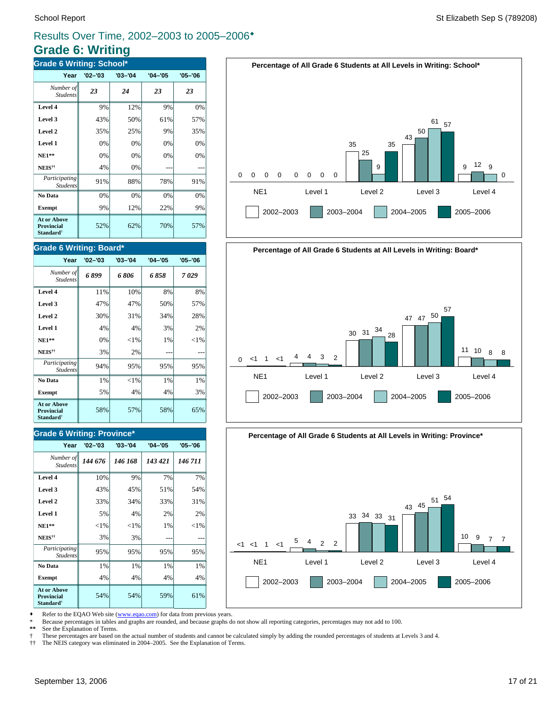# **Grade 6: Writing**

| <b>Grade 6 Writing: School*</b>                                  |             |             |             |             |  |
|------------------------------------------------------------------|-------------|-------------|-------------|-------------|--|
| Year                                                             | $'02 - '03$ | $'03 - '04$ | $'04 - '05$ | $'05 - '06$ |  |
| Number of<br><b>Students</b>                                     | 23          | 24          | 23          | 23          |  |
| Level 4                                                          | 9%          | 12%         | 9%          | 0%          |  |
| Level 3                                                          | 43%         | 50%         | 61%         | 57%         |  |
| Level 2                                                          | 35%         | 25%         | 9%          | 35%         |  |
| Level 1                                                          | 0%          | 0%          | 0%          | 0%          |  |
| $NE1**$                                                          | 0%          | 0%          | 0%          | 0%          |  |
| NEIS <sup>††</sup>                                               | 4%          | 0%          |             |             |  |
| Participating<br><b>Students</b>                                 | 91%         | 88%         | 78%         | 91%         |  |
| No Data                                                          | 0%          | 0%          | 0%          | 0%          |  |
| <b>Exempt</b>                                                    | 9%          | 12%         | 22%         | 9%          |  |
| <b>At or Above</b><br>Provincial<br><b>Standard</b> <sup>†</sup> | 52%         | 62%         | 70%         | 57%         |  |

### **Grade 6 Writing: Board\***

| Year                                                                    | $'02 - '03$ | $'03 - '04$ | $'04 - '05$ | $'05 - '06$ |
|-------------------------------------------------------------------------|-------------|-------------|-------------|-------------|
| Number of<br><b>Students</b>                                            | 6899        | 6806        | 6858        | 7 029       |
| Level 4                                                                 | 11%         | 10%         | 8%          | 8%          |
| Level 3                                                                 | 47%         | 47%         | 50%         | 57%         |
| Level 2                                                                 | 30%         | 31%         | 34%         | 28%         |
| Level 1                                                                 | 4%          | 4%          | 3%          | 2%          |
| <b>NE1**</b>                                                            | 0%          | ${<}1\%$    | 1%          | ${<}1\%$    |
| NEIS <sup>††</sup>                                                      | 3%          | 2%          |             |             |
| Participating<br><b>Students</b>                                        | 94%         | 95%         | 95%         | 95%         |
| No Data                                                                 | 1%          | ${<}1\%$    | 1%          | 1%          |
| <b>Exempt</b>                                                           | 5%          | 4%          | 4%          | 3%          |
| <b>At or Above</b><br><b>Provincial</b><br><b>Standard</b> <sup>†</sup> | 58%         | 57%         | 58%         | 65%         |

### **Grade 6 Writing: Province\***

| Year                                                                    | $'02 - '03$ | $'03 - '04$ | $'04 - '05$ | $'05 - '06$ |
|-------------------------------------------------------------------------|-------------|-------------|-------------|-------------|
| Number of<br><b>Students</b>                                            | 144 676     | 146 168     | 143 421     | 146 711     |
| Level 4                                                                 | 10%         | 9%          | 7%          | 7%          |
| Level 3                                                                 | 43%         | 45%         | 51%         | 54%         |
| Level 2                                                                 | 33%         | 34%         | 33%         | 31%         |
| Level 1                                                                 | 5%          | 4%          | 2%          | 2%          |
| $NE1**$                                                                 | ${<}1\%$    | $<$ 1%      | 1%          | ${<}1\%$    |
| NEIS <sup>††</sup>                                                      | 3%          | 3%          |             |             |
| Participating<br><b>Students</b>                                        | 95%         | 95%         | 95%         | 95%         |
| No Data                                                                 | 1%          | 1%          | 1%          | 1%          |
| <b>Exempt</b>                                                           | 4%          | 4%          | 4%          | 4%          |
| <b>At or Above</b><br><b>Provincial</b><br><b>Standard</b> <sup>†</sup> | 54%         | 54%         | 59%         | 61%         |







Refer to the EQAO Web site (www.eqao.com) for data from previous years.

\* Because percentages in tables and graphs are rounded, and because graphs do not show all reporting categories, percentages may not add to 100.

**\*\*** See the Explanation of Terms.

 $\dagger$  These percentages are based on the actual number of students and cannot be calculated simply by adding the rounded percentages of students at Levels 3 and 4.<br> $\dagger\uparrow$  The NEIS category was eliminated in 2004–2005. See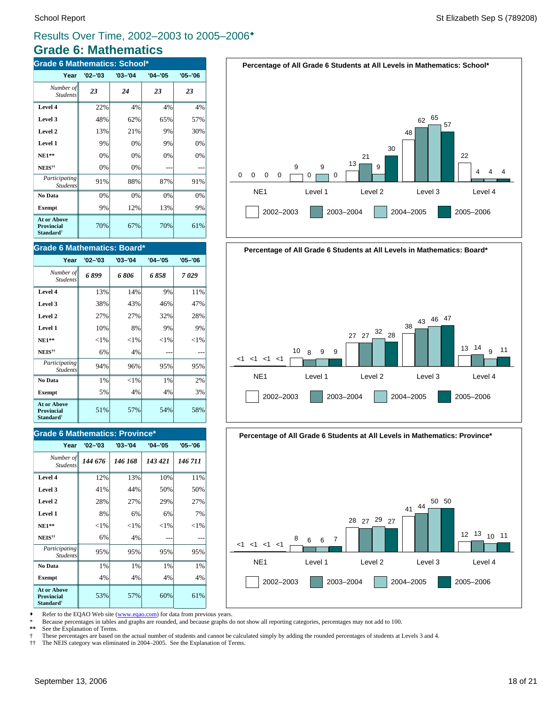### **Grade 6: Mathematics** Results Over Time, 2002–2003 to 2005–2006<sup>\*</sup>

| <b>Grade 6 Mathematics: School*</b>                              |             |             |             |             |  |
|------------------------------------------------------------------|-------------|-------------|-------------|-------------|--|
| Year                                                             | $'02 - '03$ | $'03 - '04$ | $'04 - '05$ | $'05 - '06$ |  |
| Number of<br><b>Students</b>                                     | 23          | 24          | 23          | 23          |  |
| Level 4                                                          | 22%         | 4%          | 4%          | 4%          |  |
| Level 3                                                          | 48%         | 62%         | 65%         | 57%         |  |
| Level 2                                                          | 13%         | 21%         | 9%          | 30%         |  |
| Level 1                                                          | 9%          | 0%          | 9%          | 0%          |  |
| $NE1**$                                                          | 0%          | 0%          | 0%          | 0%          |  |
| NEIS <sup>††</sup>                                               | 0%          | 0%          |             |             |  |
| Participating<br><b>Students</b>                                 | 91%         | 88%         | 87%         | 91%         |  |
| No Data                                                          | 0%          | 0%          | 0%          | 0%          |  |
| <b>Exempt</b>                                                    | 9%          | 12%         | 13%         | 9%          |  |
| <b>At or Above</b><br>Provincial<br><b>Standard</b> <sup>†</sup> | 70%         | 67%         | 70%         | 61%         |  |

#### **Grade 6 Mathematics: Board\***

| Year                                                             | $'02 - '03$ | $'03 - '04$ | $'04 - '05$ | $'05 - '06$ |
|------------------------------------------------------------------|-------------|-------------|-------------|-------------|
| Number of<br><b>Students</b>                                     | 6899        | 6 806       | 6858        | 7029        |
| Level 4                                                          | 13%         | 14%         | 9%          | 11%         |
| Level 3                                                          | 38%         | 43%         | 46%         | 47%         |
| Level 2                                                          | 27%         | 27%         | 32%         | 28%         |
| Level 1                                                          | 10%         | 8%          | 9%          | 9%          |
| $NE1**$                                                          | ${<}1\%$    | ${<}1\%$    | ${<}1\%$    | ${<}1\%$    |
| NEIS <sup>††</sup>                                               | 6%          | 4%          |             |             |
| Participating<br><b>Students</b>                                 | 94%         | 96%         | 95%         | 95%         |
| No Data                                                          | 1%          | ${<}1\%$    | 1%          | 2%          |
| <b>Exempt</b>                                                    | 5%          | 4%          | 4%          | 3%          |
| <b>At or Above</b><br><b>Provincial</b><br>Standard <sup>†</sup> | 51%         | 57%         | 54%         | 58%         |

### **Grade 6 Mathematics: Province\***

| Year                                                                    | $'02 - '03$ | $'03 - '04$ | $'04 - '05$ | $'05 - '06$ |
|-------------------------------------------------------------------------|-------------|-------------|-------------|-------------|
| Number of<br><b>Students</b>                                            | 144 676     | 146 168     | 143 421     | 146 711     |
| Level 4                                                                 | 12%         | 13%         | 10%         | 11%         |
| Level 3                                                                 | 41%         | 44%         | 50%         | 50%         |
| Level 2                                                                 | 28%         | 27%         | 29%         | 27%         |
| Level 1                                                                 | 8%          | 6%          | 6%          | 7%          |
| $NE1**$                                                                 | ${<}1\%$    | ${<}1\%$    | ${<}1\%$    | ${<}1\%$    |
| NEIS <sup>††</sup>                                                      | 6%          | 4%          |             |             |
| Participating<br><b>Students</b>                                        | 95%         | 95%         | 95%         | 95%         |
| No Data                                                                 | 1%          | 1%          | 1%          | 1%          |
| <b>Exempt</b>                                                           | 4%          | 4%          | 4%          | 4%          |
| <b>At or Above</b><br><b>Provincial</b><br><b>Standard</b> <sup>†</sup> | 53%         | 57%         | 60%         | 61%         |





**Percentage of All Grade 6 Students at All Levels in Mathematics: Province\***



• Refer to the EQAO Web site (www.eqao.com) for data from previous years.

\* Because percentages in tables and graphs are rounded, and because graphs do not show all reporting categories, percentages may not add to 100.

**\*\*** See the Explanation of Terms.

 $\dagger$  These percentages are based on the actual number of students and cannot be calculated simply by adding the rounded percentages of students at Levels 3 and 4.<br> $\dagger\uparrow$  The NEIS category was eliminated in 2004–2005. See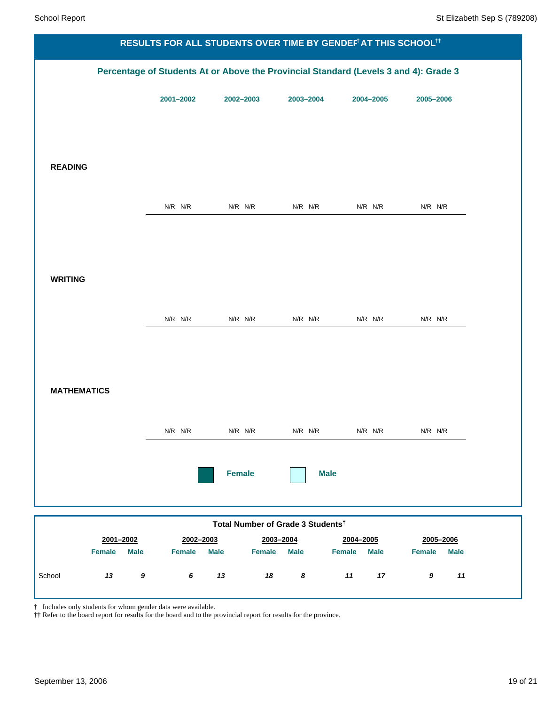|                              |               |                              |                                                            | RESULTS FOR ALL STUDENTS OVER TIME BY GENDEFT AT THIS SCHOOLTT                       |                        |  |
|------------------------------|---------------|------------------------------|------------------------------------------------------------|--------------------------------------------------------------------------------------|------------------------|--|
|                              |               |                              |                                                            | Percentage of Students At or Above the Provincial Standard (Levels 3 and 4): Grade 3 |                        |  |
|                              | 2001-2002     | 2002-2003                    | 2003-2004                                                  | 2004-2005                                                                            | 2005-2006              |  |
|                              |               |                              |                                                            |                                                                                      |                        |  |
|                              |               |                              |                                                            |                                                                                      |                        |  |
| <b>READING</b>               |               |                              |                                                            |                                                                                      |                        |  |
|                              |               |                              |                                                            |                                                                                      |                        |  |
|                              | $N/R$ $N/R$   | N/R N/R                      | $N/R$ $N/R$                                                | N/R N/R                                                                              | $N/R$ $N/R$            |  |
|                              |               |                              |                                                            |                                                                                      |                        |  |
|                              |               |                              |                                                            |                                                                                      |                        |  |
| <b>WRITING</b>               |               |                              |                                                            |                                                                                      |                        |  |
|                              | $N/R$ $N/R$   | N/R N/R                      | $N/R$ $N/R$                                                | $N/R$ $N/R$                                                                          | $N/R$ $N/R$            |  |
|                              |               |                              |                                                            |                                                                                      |                        |  |
|                              |               |                              |                                                            |                                                                                      |                        |  |
| <b>MATHEMATICS</b>           |               |                              |                                                            |                                                                                      |                        |  |
|                              |               |                              |                                                            |                                                                                      |                        |  |
|                              | $N/R$ $N/R$   | $N/R$ $N/R$                  | $N/R$ $N/R$                                                | $N/R$ $N/R$                                                                          | $N/R$ $N/R$            |  |
|                              |               |                              |                                                            |                                                                                      |                        |  |
|                              |               | <b>Female</b>                | <b>Male</b>                                                |                                                                                      |                        |  |
|                              |               |                              |                                                            |                                                                                      |                        |  |
| 2001-2002                    | 2002-2003     |                              | Total Number of Grade 3 Students <sup>†</sup><br>2003-2004 | 2004-2005                                                                            | 2005-2006              |  |
| <b>Female</b><br><b>Male</b> | <b>Female</b> | <b>Male</b><br><b>Female</b> | <b>Male</b>                                                | <b>Female</b><br><b>Male</b>                                                         | Female<br><b>Male</b>  |  |
| 13<br>School<br>$\pmb{9}$    | $\bm{6}$      | 13<br>18                     | 8                                                          | 11<br>$17$                                                                           | 11<br>$\boldsymbol{9}$ |  |

† Includes only students for whom gender data were available.

†† Refer to the board report for results for the board and to the provincial report for results for the province.

ı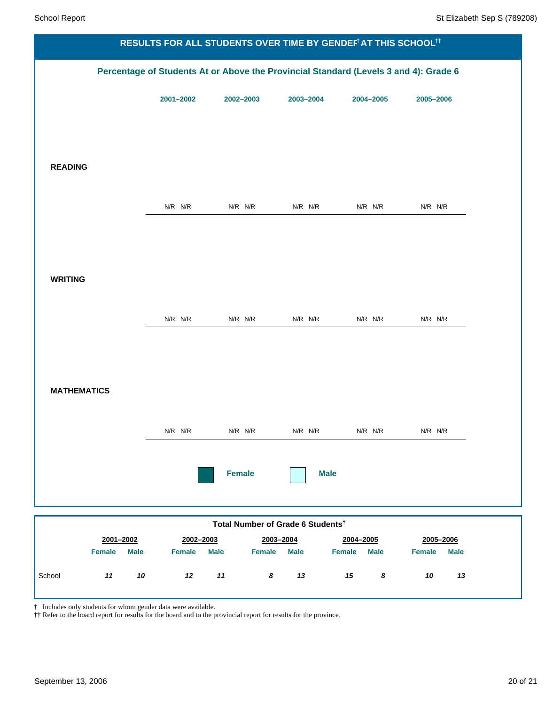|                              |             |                              |                                                            | RESULTS FOR ALL STUDENTS OVER TIME BY GENDEFT AT THIS SCHOOLTT                       |                              |  |
|------------------------------|-------------|------------------------------|------------------------------------------------------------|--------------------------------------------------------------------------------------|------------------------------|--|
|                              |             |                              |                                                            | Percentage of Students At or Above the Provincial Standard (Levels 3 and 4): Grade 6 |                              |  |
|                              | 2001-2002   | 2002-2003                    | 2003-2004                                                  | 2004-2005                                                                            | 2005-2006                    |  |
|                              |             |                              |                                                            |                                                                                      |                              |  |
|                              |             |                              |                                                            |                                                                                      |                              |  |
| <b>READING</b>               |             |                              |                                                            |                                                                                      |                              |  |
|                              |             |                              |                                                            |                                                                                      |                              |  |
|                              | $N/R$ $N/R$ | N/R N/R                      | $N/R$ $N/R$                                                | N/R N/R                                                                              | $N/R$ $N/R$                  |  |
|                              |             |                              |                                                            |                                                                                      |                              |  |
|                              |             |                              |                                                            |                                                                                      |                              |  |
| <b>WRITING</b>               |             |                              |                                                            |                                                                                      |                              |  |
|                              | $N/R$ $N/R$ | N/R N/R                      | $N/R$ $N/R$                                                | $N/R$ $N/R$                                                                          | $N/R$ $N/R$                  |  |
|                              |             |                              |                                                            |                                                                                      |                              |  |
|                              |             |                              |                                                            |                                                                                      |                              |  |
| <b>MATHEMATICS</b>           |             |                              |                                                            |                                                                                      |                              |  |
|                              |             |                              |                                                            |                                                                                      |                              |  |
|                              | $N/R$ $N/R$ | $N/R$ $N/R$                  | $N/R$ $N/R$                                                | $N/R$ $N/R$                                                                          | $N/R$ $N/R$                  |  |
|                              |             |                              |                                                            |                                                                                      |                              |  |
|                              |             | <b>Female</b>                | <b>Male</b>                                                |                                                                                      |                              |  |
|                              |             |                              |                                                            |                                                                                      |                              |  |
| 2001-2002                    | 2002-2003   |                              | Total Number of Grade 6 Students <sup>t</sup><br>2003-2004 | 2004-2005                                                                            | 2005-2006                    |  |
| <b>Female</b><br><b>Male</b> | Female      | <b>Male</b><br><b>Female</b> | <b>Male</b>                                                | <b>Female</b><br><b>Male</b>                                                         | <b>Female</b><br><b>Male</b> |  |
| 11<br>School<br>10           | 12          | 11<br>$\pmb{8}$              | 13                                                         | $15\,$<br>$\pmb{8}$                                                                  | 10<br>13                     |  |

† Includes only students for whom gender data were available.

†† Refer to the board report for results for the board and to the provincial report for results for the province.

ı